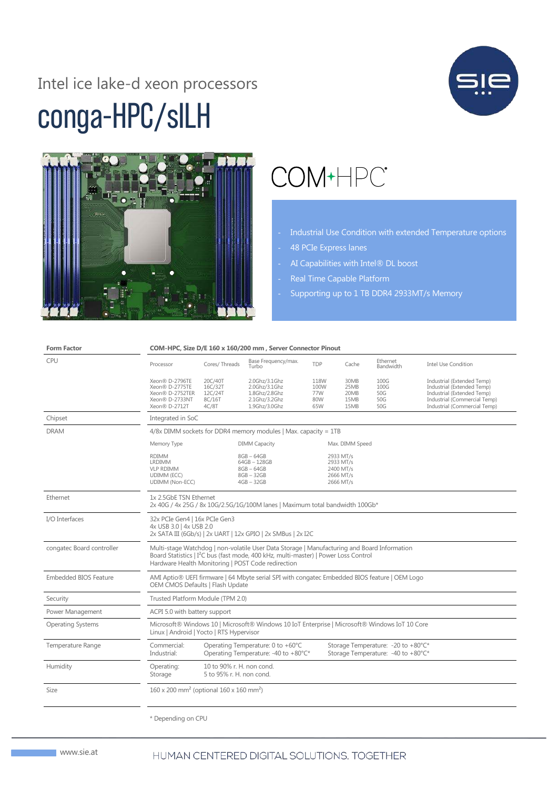# conga-HPC/sILH Intel ice lake-d xeon processors





# COM+HPC<sup>®</sup>

- Industrial Use Condition with extended Temperature options
- 48 PCIe Express lanes
- AI Capabilities with Intel® DL boost
- Real Time Capable Platform
- Supporting up to 1 TB DDR4 2933MT/s Memory

| <b>Form Factor</b>        | COM-HPC, Size D/E 160 x 160/200 mm, Server Connector Pinout                                                                                                                                                                                          |                                                       |                                                                                   |                                   |                                                               |                                                                          |                                                                                                                                                        |  |  |
|---------------------------|------------------------------------------------------------------------------------------------------------------------------------------------------------------------------------------------------------------------------------------------------|-------------------------------------------------------|-----------------------------------------------------------------------------------|-----------------------------------|---------------------------------------------------------------|--------------------------------------------------------------------------|--------------------------------------------------------------------------------------------------------------------------------------------------------|--|--|
| <b>CPU</b>                | Processor                                                                                                                                                                                                                                            | Cores/Threads                                         | Base Frequency/max.<br>Turbo                                                      | TDP                               | Cache                                                         | Ethernet<br>Bandwidth                                                    | Intel Use Condition                                                                                                                                    |  |  |
|                           | Xeon® D-2796TE<br>Xeon® D-2775TE<br>Xeon® D-2752TER<br>Xeon® D-2733NT<br>Xeon® D-2712T                                                                                                                                                               | 20C/40T<br>16C/32T<br>12C/24T<br>8C/16T<br>4C/8T      | 2.0Ghz/3.1Ghz<br>2.0Ghz/3.1Ghz<br>1.8Ghz/2.8Ghz<br>2.1Ghz/3.2Ghz<br>1.9Ghz/3.0Ghz | 118W<br>100W<br>77W<br>80W<br>65W | 30MB<br>25MB<br>20MB<br>15MB<br>15MB                          | 100G<br>100G<br>50G<br>50G<br>50G                                        | Industrial (Extended Temp)<br>Industrial (Extended Temp)<br>Industrial (Extended Temp)<br>Industrial (Commercial Temp)<br>Industrial (Commercial Temp) |  |  |
| Chipset                   | Integrated in SoC                                                                                                                                                                                                                                    |                                                       |                                                                                   |                                   |                                                               |                                                                          |                                                                                                                                                        |  |  |
| <b>DRAM</b>               | $4/8x$ DIMM sockets for DDR4 memory modules   Max. capacity = 1TB                                                                                                                                                                                    |                                                       |                                                                                   |                                   |                                                               |                                                                          |                                                                                                                                                        |  |  |
|                           | Memory Type                                                                                                                                                                                                                                          |                                                       | <b>DIMM Capacity</b>                                                              |                                   | Max. DIMM Speed                                               |                                                                          |                                                                                                                                                        |  |  |
|                           | <b>RDIMM</b><br>LRDIMM<br><b>VLP RDIMM</b><br>UDIMM (ECC)<br>UDIMM (Non-ECC)                                                                                                                                                                         |                                                       | $8GB - 64GB$<br>64GB-128GB<br>$8GB - 64GB$<br>$8GB - 32GB$<br>$4GB - 32GB$        |                                   | 2933 MT/s<br>2933 MT/s<br>2400 MT/s<br>2666 MT/s<br>2666 MT/s |                                                                          |                                                                                                                                                        |  |  |
| Ethernet                  | 1x 2.5GbE TSN Ethernet<br>2x 40G / 4x 25G / 8x 10G/2.5G/1G/100M lanes   Maximum total bandwidth 100Gb*                                                                                                                                               |                                                       |                                                                                   |                                   |                                                               |                                                                          |                                                                                                                                                        |  |  |
| I/O Interfaces            | 32x PCIe Gen4   16x PCIe Gen3<br>4x USB 3.0   4x USB 2.0<br>2x SATA III (6Gb/s)   2x UART   12x GPIO   2x SMBus   2x I2C                                                                                                                             |                                                       |                                                                                   |                                   |                                                               |                                                                          |                                                                                                                                                        |  |  |
| congatec Board controller | Multi-stage Watchdog   non-volatile User Data Storage   Manufacturing and Board Information<br>Board Statistics   I <sup>2</sup> C bus (fast mode, 400 kHz, multi-master)   Power Loss Control<br>Hardware Health Monitoring   POST Code redirection |                                                       |                                                                                   |                                   |                                                               |                                                                          |                                                                                                                                                        |  |  |
| Embedded BIOS Feature     | AMI Aptio® UEFI firmware   64 Mbyte serial SPI with congatec Embedded BIOS feature   OEM Logo<br>OEM CMOS Defaults   Flash Update                                                                                                                    |                                                       |                                                                                   |                                   |                                                               |                                                                          |                                                                                                                                                        |  |  |
| Security                  | Trusted Platform Module (TPM 2.0)                                                                                                                                                                                                                    |                                                       |                                                                                   |                                   |                                                               |                                                                          |                                                                                                                                                        |  |  |
| Power Management          | ACPI 5.0 with battery support                                                                                                                                                                                                                        |                                                       |                                                                                   |                                   |                                                               |                                                                          |                                                                                                                                                        |  |  |
| <b>Operating Systems</b>  | Microsoft® Windows 10   Microsoft® Windows 10 IoT Enterprise   Microsoft® Windows IoT 10 Core<br>Linux   Android   Yocto   RTS Hypervisor                                                                                                            |                                                       |                                                                                   |                                   |                                                               |                                                                          |                                                                                                                                                        |  |  |
| Temperature Range         | Commercial:<br>Industrial:                                                                                                                                                                                                                           |                                                       | Operating Temperature: 0 to +60°C<br>Operating Temperature: -40 to +80°C*         |                                   |                                                               | Storage Temperature: -20 to +80°C*<br>Storage Temperature: -40 to +80°C* |                                                                                                                                                        |  |  |
| Humidity                  | Operating:<br>Storage                                                                                                                                                                                                                                | 10 to 90% r. H. non cond.<br>5 to 95% r. H. non cond. |                                                                                   |                                   |                                                               |                                                                          |                                                                                                                                                        |  |  |
| Size                      | $160 \times 200$ mm <sup>2</sup> (optional $160 \times 160$ mm <sup>2</sup> )                                                                                                                                                                        |                                                       |                                                                                   |                                   |                                                               |                                                                          |                                                                                                                                                        |  |  |
|                           | * Depending on CPU                                                                                                                                                                                                                                   |                                                       |                                                                                   |                                   |                                                               |                                                                          |                                                                                                                                                        |  |  |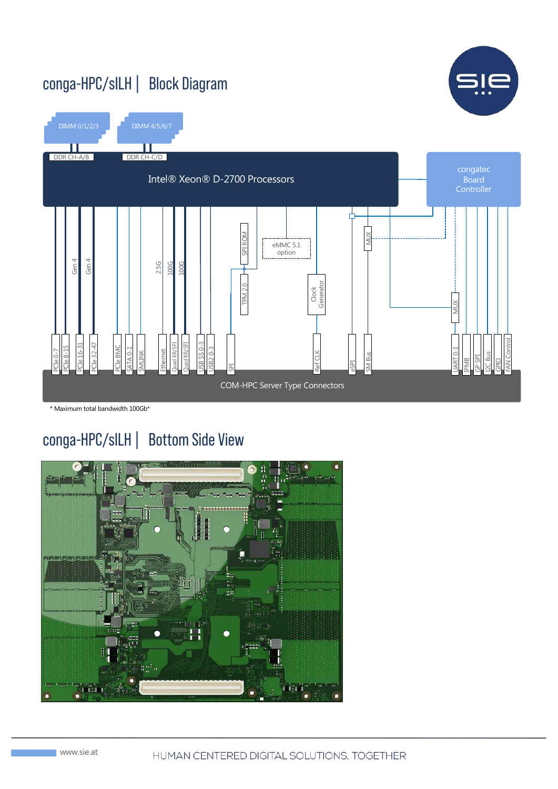### conga-HPC/sILH | Block Diagram





\* Maximum total bandwidth 100Gb\*

### conga-HPC/sILH | Bottom Side View

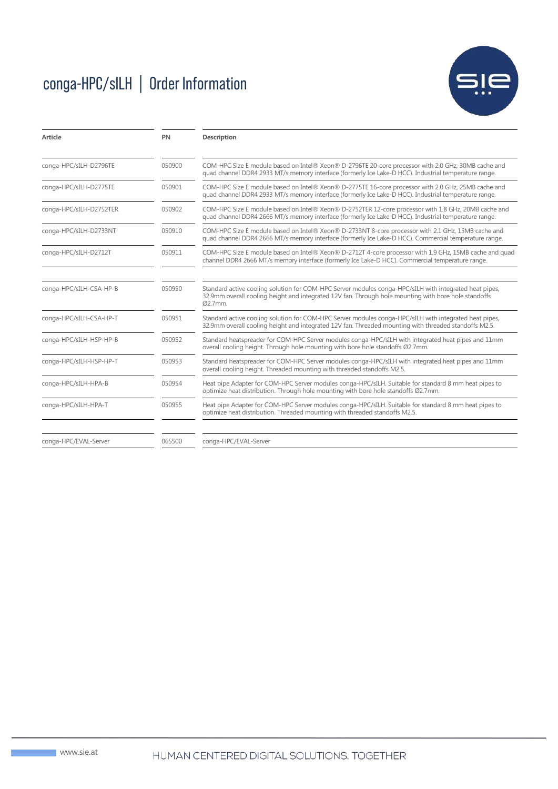## conga-HPC/sILH | Order Information



| <b>Article</b>          | PN     | <b>Description</b>                                                                                                                                                                                                        |  |
|-------------------------|--------|---------------------------------------------------------------------------------------------------------------------------------------------------------------------------------------------------------------------------|--|
| conga-HPC/sILH-D2796TE  | 050900 | COM-HPC Size E module based on Intel® Xeon® D-2796TE 20-core processor with 2.0 GHz, 30MB cache and<br>guad channel DDR4 2933 MT/s memory interface (formerly Ice Lake-D HCC). Industrial temperature range.              |  |
| conga-HPC/sILH-D2775TE  | 050901 | COM-HPC Size E module based on Intel® Xeon® D-2775TE 16-core processor with 2.0 GHz, 25MB cache and<br>quad channel DDR4 2933 MT/s memory interface (formerly Ice Lake-D HCC). Industrial temperature range.              |  |
| conga-HPC/sILH-D2752TER | 050902 | COM-HPC Size E module based on Intel® Xeon® D-2752TER 12-core processor with 1.8 GHz, 20MB cache and<br>quad channel DDR4 2666 MT/s memory interface (formerly Ice Lake-D HCC). Industrial temperature range.             |  |
| conga-HPC/sILH-D2733NT  | 050910 | COM-HPC Size E module based on Intel® Xeon® D-2733NT 8-core processor with 2.1 GHz, 15MB cache and<br>quad channel DDR4 2666 MT/s memory interface (formerly Ice Lake-D HCC). Commercial temperature range.               |  |
| conga-HPC/sILH-D2712T   | 050911 | COM-HPC Size E module based on Intel® Xeon® D-2712T 4-core processor with 1.9 GHz, 15MB cache and quad<br>channel DDR4 2666 MT/s memory interface (formerly Ice Lake-D HCC). Commercial temperature range.                |  |
| conga-HPC/sILH-CSA-HP-B | 050950 | Standard active cooling solution for COM-HPC Server modules conga-HPC/sILH with integrated heat pipes,<br>32.9mm overall cooling height and integrated 12V fan. Through hole mounting with bore hole standoffs<br>Ø2.7mm. |  |
| conga-HPC/sILH-CSA-HP-T | 050951 | Standard active cooling solution for COM-HPC Server modules conga-HPC/sILH with integrated heat pipes,<br>32.9mm overall cooling height and integrated 12V fan. Threaded mounting with threaded standoffs M2.5.           |  |
| conga-HPC/sILH-HSP-HP-B | 050952 | Standard heatspreader for COM-HPC Server modules conga-HPC/sILH with integrated heat pipes and 11mm<br>overall cooling height. Through hole mounting with bore hole standoffs Ø2.7mm.                                     |  |
| conga-HPC/sILH-HSP-HP-T | 050953 | Standard heatspreader for COM-HPC Server modules conga-HPC/sILH with integrated heat pipes and 11mm<br>overall cooling height. Threaded mounting with threaded standoffs M2.5.                                            |  |
| conga-HPC/sILH-HPA-B    | 050954 | Heat pipe Adapter for COM-HPC Server modules conga-HPC/sILH. Suitable for standard 8 mm heat pipes to<br>optimize heat distribution. Through hole mounting with bore hole standoffs Ø2.7mm.                               |  |
| conga-HPC/sILH-HPA-T    | 050955 | Heat pipe Adapter for COM-HPC Server modules conga-HPC/sILH. Suitable for standard 8 mm heat pipes to<br>optimize heat distribution. Threaded mounting with threaded standoffs M2.5.                                      |  |
| conga-HPC/EVAL-Server   | 065500 | conga-HPC/EVAL-Server                                                                                                                                                                                                     |  |